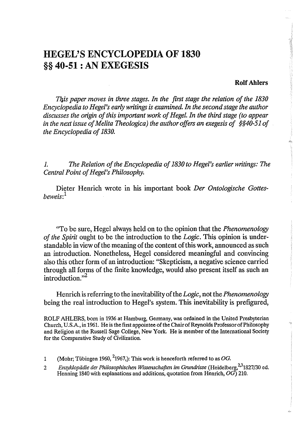# HEGEL'S ENCYCLOPEDIA OF 1830 §§ 40-51 : AN EXEGESIS

#### RolfAhlers

*This paper moves in three stages. In the first stage the relation of the 1830 Encyclopedia to Hegel's early writings is examined. In the second stage the author discusses the origin of this important work of Hegel. In the third stage (to appear in the next issue of Melita Theologica) the author offers an exegesis of §§40-S10f the Encyclopedia of 1830.* 

*1. The Relation of the Encyclopedia of 1830 to Hegel's earlier writings: The Central Point of Hegel's Philosophy.* 

Dieter Henrich wrote in his important book *Der Ontologische Gottesbeweis:*<sup>1</sup>

"To be sure, Hegel always held on to the opinion that the *Phenomenology of the Spirit* ought to be the introduction to the *Logic.* This opinion is understandable in view of the meaning of the content of this work, announced as such an introduction. Nonetheless, Hegel considered meaningful and convincing also this other form of an introduction: "Skepticism, a negative science carried through all forms of the finite knowledge, would also present itself as such an  $introduction.$ <sup>2</sup>

Henrich is referring to the inevitability of the *Logic,* not the *Phenomenology*  being the real introduction to Hegel's system. This inevitability is prefigured,

ROLF AHLERS, born in 1936 at Hamburg, Germany, was ordained in the United Presbyterian Church, U.S.A., in 1961. He is the first appointee of the Chair of Reynolds Professor of Philosophy and Religion at the Russell Sage College, New York. He is member of the International Society for the Comparative Study of Civilization.

- 1 (Mohr; Tübingen 1960,  $^{2}$ 1967,): This work is henceforth referred to as *OG*.
- 2 Enzyklopädie der Philosophischen Wissenschaften im Grundrisse (Heidelberg, 231827/30 ed. Henning 1840 with explanations and additions, quotation from Henrich, *OG) 210.*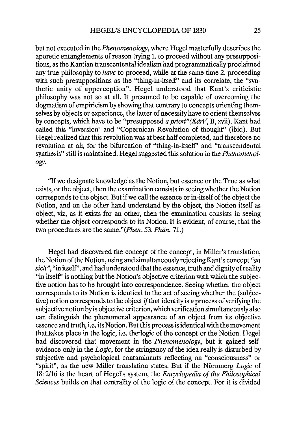but not executed in the *Phenomenology,* where Hegel masterfully describes the aporetic entanglements of reason trying 1. to proceed without any presuppositions, as the Kantian transcentental idealism had programmatically proclaimed any true philosophy to *have* to proceed, while at the same time 2. proceeding with such presuppositions as the "thing-in-itself" and its correlate, the "synthetic unity of apperception". Hegel understood that Kant's criticistic philosophy was not so at all. It presumed to be capable of overcoming the dogmatism of empiricism by showing that contrary to concepts orienting themselves by objects or experience, the latter of necessity have to orient themselves by concepts, which have to be "presupposed *a priori"(KdrV,* B, xvii). Kant had called this "inversion" and "Copernican Revolution of thought" (ibid). But Hegel realized that this revolution was at best half completed, and therefore no revolution at all, for the bifurcation of "thing-in-itself' and "transcendental synthesis" still is maintained. Hegel suggested this solution in the *Phenomenology.* 

"If we designate knowledge' as the Notion, but essence or the True as what exists, or the object, then the examination consists in seeing whether the Notion corresponds to the object. But if we call the essence or in-itself of the object the Notion, and on the other hand understand by the object, the Notion itself as object, viz, as it exists for an other, then the examination consists in seeing whether the object corresponds to its Notion. It is evident, of course, that the two procedures are the same."(*Phen.* 53, *Phän.* 71.)

Hegel had discovered the concept of the concept, in Miller's translation, the Notion of the Notion, using and simultaneously rejecting Kant's concept *"an sich",* "in itself', and had understood that the essence, truth and dignity of reality "in itself" is nothing but the Notion's objective criterion with which the subjective notion has to be brought into correspondence. Seeing whether the object corresponds to its Notion is identical to the act of seeing whether the (subjective) notion corresponds to the object if that identity is a process of verifying the subjective notion by is objective criterion, which verification simultaneously also can distinguish the phenomenal appearance of an object from its objective essence and truth, i.e. its Notion. But this process is identical with the movement that takes place in the logic, i.e. the logic of the concept or the Notion. Hegel had discovered that movement in the *Phenomenology,* but it gained selfevidence only in the *Logic,* for the stringency of the idea really is disturbed by subjective and psychological contaminants reflecting on "consciousness" or "spirit", as the new Miller translation states. But if the Niirmnerg *Logic* of 1812/16 is the heart of Hegel's system, the *Encyclopedia of the Philosophical Sciences* builds on that centrality of the logic of the concept. For it is divided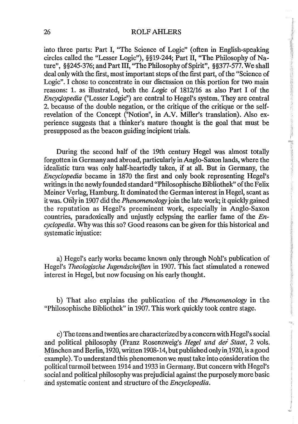#### 26 ROLFAHLERS

into three parts: Part I, "The Science of Logic" (often in English-speaking circles called the "Lesser Logic"), §§19-244; Part II, "The Philosophy of Nature", §§245-376; and Part Ill, "The Philosophy of Spirit", §§377-577. We shall deal only with the first, most important steps of the first part, of the "Science of Logic". I chose to concentrate in our discussion on this portion for two main reasons: 1. as illustrated, both the *Logic* of 1812/16 as also Part I of the *Encyclopedia* ("Lesser Logic") are central to Hegel's system. They are central 2. because of the double negation, or the critique of the critique or the selfrevelation of the Concept ("Notion", in A.V. Miller's translation). Also experience suggests that a thinker's mature thought is the goal that must be presupposed as the beacon guiding incipient trials.

During the second half of the 19th century Hegel was almost totally forgotten in Germany and abroad, particularly in Anglo-Saxon lands, where the idealistic turn was only half-heartedly taken, if at all. But in Germany, the *Encyclopedia* became in 1870 the first and only book representing Hegel's writings in the newly founded standard "Philosophische Bibliothek" of the Felix Meiner Verlag, Hamburg. It dominated the German interest in Hegel, scant as it was. Only in 1907 did the *Phenomenology* join the late work; it quickly gained the reputation as Hegel's preeminent work, especially in Anglo-Saxon countries, paradoxically and unjustly eclypsing the earlier fame of the *Encyclopedia.* Why was this so? Good reasons can be given for this historical and systematic injustice:

a) Hegel's early works became known only through Nohl's publication of Hegel's *Theologische lugendschriften* in 1907. This fact stimulated a renewed interest in Hegel, but now focusing on his early thought.

b) That also explains the publication of the *Phenomenology* in the "Philosophische Bibliothek" in 1907. This work quickly took centre stage.

c) The teens and twenties are characterized by a concern with Hegel's social and political philosophy (Franz Rosenzweig's *Hegel und der Staat*, 2 vols. München and Berlin, 1920, written 1908-14, but published only in 1920, is a good example). To understand this phenomenon we must take into consideration the political turmoil between 1914 and 1933 in Germany. But concern with Hegel's social and political philosophy was prejudicial against the purposely more basic and systematic content and structure of the *Encyclopedia.*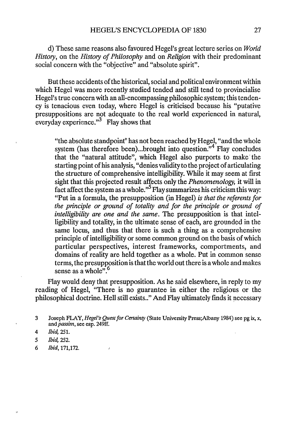d) These same reasons also favoured Hegel's great lecture series on *World History,* on the *History of Philosophy* and on *Religion* with their predominant social concern with the "objective" and "absolute spirit".

But these accidents of the historical, social and political environment within which Hegel was more recently studied tended and still tend to provincialise Hegel's true concern with an all-encompassing philosophic system; this tendency is tenacious even today, where Hegel is criticised because his "putative presuppositions are not adequate to the real world experienced in natural, everyday experience. $n^3$  Flay shows that

"the absolute standpoint" has not been reached by Hegel, "and the whole system (has therefore been)...brought into question."<sup>4</sup> Flay concludes that the "natural attitude", which Hegel also purports to make the starting point of his analysis, "denies validity to the project of articulating the structure of comprehensive intelligibility. While it may seem at first sight that this projected result affects only the *Phenomenology,* it will in fact affect the system as a whole." Flay summarizes his criticism this way: "Put in a formula, the presupposition (in Hegel) *is that the referents for the principle or ground of totality and for the principle or ground of intelligibility are one and the same.* The presupposition is that intelligibility and totality, in the ultimate sense of each, are grounded in the same locus, and thus that there is such a thing as a comprehensive principle of intelligibility or some common ground on the basis of which particular perspectives, interest frameworks, comportments, and domains of reality are held together as a whole. Put in common sense terms, the presupposition is that the world out there is a whole and makes sense as a whole". $6$ 

Flay would deny that presupposition. As he said elsewhere, in reply to my reading of Hegel, "There is no guarantee in either the religious or the philosophical doctrine. Hell still exists . ." And Flay ultimately finds it necessary

 $\lambda$ 

6 *Ibid,171,172.* 

<sup>3</sup> Joseph FLAY, *Hegel's Quest for Certainty* (State University Press;Albany 1984) see pg ix, x, and *passim,* see esp. 249ff.

*<sup>4</sup> Ibid, 251.* 

*<sup>5</sup> Ibid, 252.*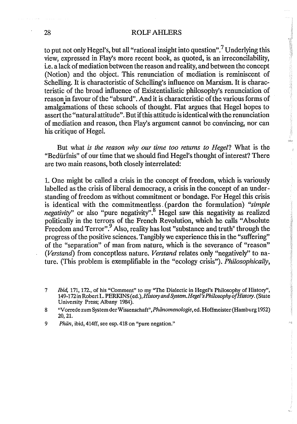### 28 ROLF AHLERS

to put not only Hegel's, but all "rational insight into question".<sup>7</sup> Underlying this view, expressed in Flay's more recent book, as quoted, is an irreconcilability, i.e. a lack of mediation between the reason and reality, and between the concept (Notion) and the object. This renunciation of mediation is reminiscent of Schelling. It is characteristic of Schelling's influence on Marxism. It is characteristic of the broad influence of Existentialistic philosophy's renunciation of reason in favour of the "absurd". And it is characteristic of the various forms of amalgamations of these schools of thought. Flat argues that Hegel hopes to assert the "natural attitude". But if this attitude is identical with the renunciation of mediation and reason; then Flay's argument cannot be convincing, nor can his critique of Hegel.

.<br>Nili

But what *is the reason why our time too returns to Hegel?* What is the "Bedurfnis" of our time that we should fmd Hegel's thought of interest? There are two main reasons, both closely interrelated:

1. One might be called a crisis in the concept of freedom, which is variously labelled as the crisis of liberal democracy, a crisis in the concept of an understanding of freedom as without commitment or bondage. For Hegel this crisis is identical with the commitmentless. (pardon the formulation) *"simple negativity*" or also "pure negativity".<sup>8</sup> Hegel saw this negativity as realized politically in the terrors of the French Revolution, which he calls "Absolute Freedom and Terror".<sup>9</sup> Also, reality has lost "substance and truth" through the progress of the positive sciences. Tangibly we experience this in the "suffering" of the "separation" of man from nature, which is the severance of "reason" *(Verstand)* from conceptless nature. *Verstand* relates only "negatively" to nature. (This problem is exemplifiable in the "ecology crisis"). *Philosophically,* 

<sup>7</sup> !bid, 171, 172., of his "Comment" to my "The Dialectic in Hegel's Philosophy of History", 149-172 in Robert L. PERKINS (ed.), *History and System. Hegel's Philosophy of History.* (State University Press; Albany 1984).

<sup>8 &</sup>quot;Vorrede zum System der Wissenschaft", Phänomenologie, ed. Hoffmeister (Hamburg 1952) 20,21.

*<sup>9</sup> Phiin,* ibid, 414ff, see esp. 418 on "pure negation."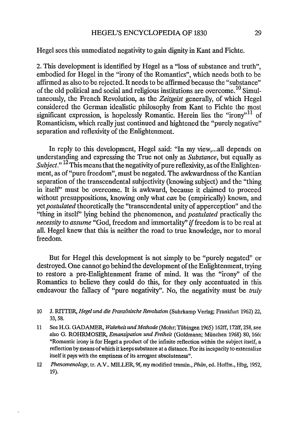Hegel sees this unmediated negativity to gain dignity in Kant and Fichte.

2. This development is identified by Hegel as a "loss of substance and truth", embodied for Hegel in the "irony of the Romantics", which needs both to be affIrmed as also to be rejected. It needs to be affirmed because the "substance" of the old political and social and religious institutions are overcome. 10 Simultaneously, the French Revolution, as the *Zeitgeist* generally, of which Hegel considered the German idealistic philosophy from Kant to Fichte the most significant expression, is hopelessly Romantic. Herein lies the "irony"<sup>11</sup> of Romanticism, which really just continued and hightened the "purely negative" separation and reflexivity of the Enlightenment.

In reply to this development, Hegel said: "In my view,...all depends on understanding and expressing the True not only as *Substance,* but equally as *Subject.*"<sup>12</sup> This means that the negativity of pure reflexivity, as of the Enlightenment, as of "pure freedom", must be negated. The awkwardness of the Kantian separation of the transcendental subjectivity (knowing subject) and the "thing in itself' must be overcome. It is awkward, because it claimed to proceed without presuppositions, knowing only what *can* be (empirically) known, and yet *postulated* theoretically the "transcendental unity of apperception" and the "thing in itself' lying behind the phenomenon, and *postulated* practically the *necessity* to *assume* "God, freedom and immortality" if freedom is to be real at all. Hegel knew that this is neither the road to true knowledge, nor to moral freedom.

But for Hegel this development is not simply to be "purely negated" or destroyed. One cannot go behind the development of the Enlightenment, trying to restore a pre-Enlightenment frame of mind. It was the "irony" of the Romantics to believe they could do this, for they only accentuated in this endeavour the fallacy of "pure negativity". No, the negativity must be *truly* 

<sup>10</sup> J. RITIER, *Hegel und die Framosische Revolution* (Suhrkamp VerJag; Frankfurt 1962) 22, 33,58.

<sup>11</sup> See H.G. GADAMER, *Wahrheit und Methode* (Mohr; Tiibingen 1965) 162ff, 172ff, 258, see also G. ROHRMOSER, *Emamipation und Freiheit* (Goldmann; Miinchen 1968) 80, 166: "Romantic irony is for Hegel a product of the infinite reflection within the subject itself, a reflection by means of which it keeps substance at a distance. For its incapacity to externalize itself it pays with the emptiness of its arrogant absoluteness".

*<sup>12</sup> Phenomenology,* tr. A.V .. MILLER, 9f, my modified transln., *Phiin,* ed. Hoffm., Hbg, 1952, 19).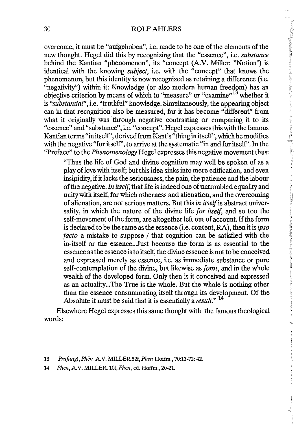**Communications** 

 $\left\langle \phi \right\rangle _{0}^{+}$ 

overcome, it must be "aufgehoben", i.e. made to be one of the elements of the new thought. Hegel did this by recognizing that the "essence", i.e. *substance*  behind the Kantian "phenomenon", its "concept (A.V. Miller: "Notion") is identical with the knowing *subject,* i.e. with the "concept" that knows the phenomenon, but this identity is now recognized as retaining a difference (i.e. "negativity") within it: Knowledge (or also modem human freedom) has an objective criterion by means of which to "measure" or "examine"<sup>13</sup> whether it • is *"substantial",* i.e. "truthful" knowledge. Simultaneously, the appearing object can in that recognition also be measured, for it has become "different" from what it originally was through negative contrasting or comparing it to its "essence" and "substance", i.e. "concept". Regel expresses this with the famous Kantian terms "in itself', derived from Kant's "thing in itself', which he modifies with the negative "for itself', to arrive at the systematic "in and for itself' . **In** the "Preface" to the *Phenomenology* Hegel expresses this negative movement thus:

"Thus the life of God and divine cognition may well be spoken of as a play of love with itself; but this idea sinks into mere edification, and even insipidity, if it lacks the seriousness, the pain, the patience and the labour of the negative. *In itself,* that life is indeed one of untroubled equality and unity with itself, for which othemess and alienation, and the overcoming of alienation, are not serious matters. But this *in itself* is abstract universality, in which the nature of the divine life *for itself,* and so too the self-movement of the form, are altogether left out of account. If the form is declared to be the same as the essence (i.e. content, RA), then it is *ipso facto* a mistake to suppose / that cognition can be satisfied with the in-itself or the essence .. .Just because the form is as essential to the essence as the essence is to itself, the divine essence is not to be conceived and expressed merely as essence, i.e. as immediate substance or pure self-contemplation of the divine, but likewise as *form,* and in the whole wealth of the developed form. Only then is it conceived and expressed as an actuality...The True is the whole. But the whole is nothing other than the essence consummating itself through its development. Of the Absolute it must be said that it is essentially a *result." 14* 

Elsewhere Hegel expresses this same thought with the famous theological words:

<sup>13</sup> Prüfung!, Phën. A.V. MILLER 52f, Phen Hoffm., 70:11-72: 42.

<sup>14</sup> Phen, A.V. MILLER, lOf, Phen, ed. Hoffm., 20-21.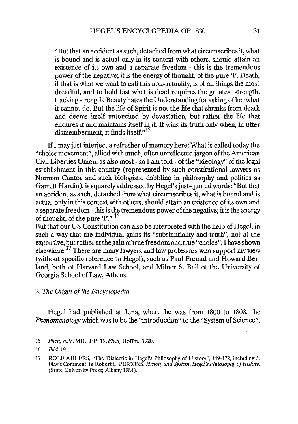"But that an accident as such, detached from what circumscribes it, what is bound and is actual only in its context with others, should attain an existence of its own and a separate freedom - this is the tremendous power of the negative; it is the energy of thought, of the pure '1'. Death, if that is what we want to call this non-actuality, is of all things the most dreadful, and to hold fast what is dead requires the greatest strength. Lacking strength, Beauty hates the Understanding for asking of her what it cannot do. But the life of Spirit is not the life that shrinks from death and deems itself untouched by devastation, but rather the life that endures it and maintains itself in it. It wins its truth only when, in utter dismemberment, it finds itself."<sup>15</sup>

If I may just interject a refresher of memory here: What is called today the "choice movement", allied with much, often unrefIected jargon of the American Civil Liberties Union, as also most - so I am told - of the "ideology" of the legal establishment in this country (represented by such constitutional lawyers as Norman Cantor and such biologists, dabbling in philosophy and politics as Garrett Hardin), is squarely addressed by Hegel's just-quoted words: "But that an accident as such, detached from what circumscribes it, what is bound and is actual only in this context with others, should attain an existence of its own and a separate freedom - this is the tremendous power of the negative; it is the energy of thought, of the pure '1'." <sup>16</sup>

But that our US Constitution can also be interpreted with the help of Hegel, in such a way that the individual gains its "substantiality and truth", not at the expensive, but rather at the gain of true freedom and true "choice", I have shown elsewhere.17 There are many lawyers and law professors who support my view (without specific reference to Hegel), such as Paul Freund and Howard Berland, both of Harvard Law School, and Milner S. Ball of the University of Georgia School of Law, Athens.

# *2. The Origin of the Encyclopedia.*

Hegel had published at Jena, where he was from 1800 to 1808, the *Phenomenology* which was to be the "introduction" to the "System of Science".

*<sup>15</sup> Plum,* A.V. MILLER, 19, *Phm,* Hoffm., 1920.

*<sup>16</sup>* !bid, *19.* 

<sup>17</sup> ROLF AHLERS, "The Dialectic in Hegel's Philosophy of History", 149-172, including J. Flay's Comment, in Robert L. PERKINS, *History and System. Hegel's Philosophy of History.*  (State University Press; Albany 1984).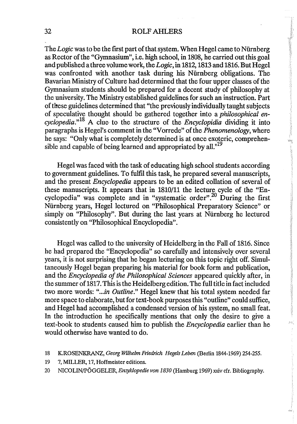## 32 ROLFAHLERS

The *Logic* was to be the first part of that system. When Hegel came to Nürnberg as Rector of the "Gymnasium", i.e. high school, in 1808, he carried out this goal and published a three volume work, the *Logic,* in 1812, 1813 and 1816. But Hegel was confronted with another task during his Niirnberg obligations. The Bavarian Ministry of Culture had determined that the four upper classes of the Gymnasium students should be prepared for a decent study of philosophy at the university. The Ministry established guidelines for such an instruction. Part of these guidelines determined that "the previously individually taught subjects of speCUlative thought should be gathered together into a *philosophical encyclopedia.,,18* A clue to the structure of the *Encyclopidia* dividing it into paragraphs is Hegel's comment in the "Vorrede" of the *Phenomenology,* where he says: "Only what is completely determined is at once exoteric, comprehensible and capable of being learned and appropriated by all."<sup>19</sup>

Ż,

kaj (

Hegel was faced with the task of educating high school students according to government guidelines. To fulfil this task, he prepared several manuscripts, and the present *Encyclopedia* appears to be an edited collation of several of these manuscripts. It appears that in 1810/11 the lecture cycle of the "Encyclopedia" was complete and in "systematic order".<sup>20</sup> During the first Niirnberg years, Hegel lectured on "Philosophical Preparatory Science" or simply on "Philosophy". But during the last years at Nürnberg he lectured consistently on "Philosophical Encyclopedia".

Hegel was called to the university of Heidelberg in the Fall of 1816. Since he had prepared the "Encyclopedia" so carefully and intensively over several years, it is not surprising that he began lecturing on this topic right off. Simultaneously Hegel began preparing his material for book form and publication, and the *Encyclopedia of the Philosophical Sciences* appeared quickly after, in the summer of 1817. This is the Heidelberg edition. The full title in fact included two more words: "...in Outline." Hegel knew that his total system needed far more space to elaborate, but for text-book purposes this "outline" could suffice, and Hegel had accomplished a condensed version of his system, no small feat. In the introduction he specifically mentions that only the desire to give a text-book to students caused him to publish the *Encyclopedia* earlier than he would otherwise have wanted to do.

- 19 7, MILLER, 17, Hoffmeister editions.
- 20 NICOLIN/POOOELER, *EnzykJopedie von 1830* (Hamburg 1969) xxivefr. Bibliography.

<sup>18</sup> KROSENKRANZ, *Georg Wilhelm Friedrich HegeIs Leben* (Berlin 1844-1969) 254-255.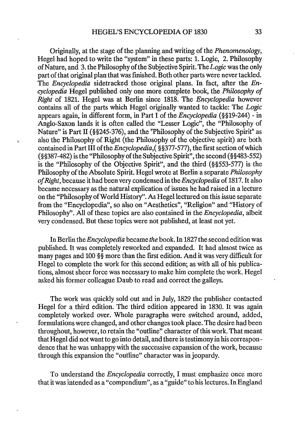Originally, at the stage of the planning and writing of the *Phenomenology,*  Hegel had hoped to write the "system" in these parts: 1. Logic, 2. Philosophy of Nature, and 3. the Philosophy of the Subjective Spirit. The *Logic* was the only part of that original plan that was finished. Both other parts were never tackled. The *Encyclopedia* sidetracked those original plans. In fact, after the *Encyclopedia* Hegel published only one more complete book, the *Philosophy of Right* of 1821. Hegel was at Berlin since 1818. The *Encyclopedia* however contains all of the parts which Hegel originally wanted to tackle: The *Logic*  appears again, in different form, in Part I of the *Encyclopedia* (§§19-244) - in Anglo-Saxon lands it is often called the "Lesser Logic", the "Philosophy of Nature" is Part Il (§§245-376), and the "Philosophy of the Subjective Spirit" as also the Philosophy of Right (the Philosophy of the objective spirit) are both contained in Part III of the *Encyclopedia,(* §§377-577), the fIrst section of which (§§387 -482) is the "Philosophy of the Subjective Spirit" , the second (§§483-552) is the "Philosophy of the Objective Spirit", and the third (§§553-577) is the Philosophy of the Absolute Spirit. Hegel wrote at Berlin a separate *Philosophy of Right,* because it had been very condensed in the *Encyclopedia* of 1817. It also became necessary as the natural explication of issues he had raised in a lecture on the "Philosophy of World History". As Hegellectured on this issue separate from the "Encyclopedia", so also on "Aesthetics", "Religion" and "History of Philosophy". All of these topics are also contained in the *Encyclopedia,* albeit very condensed. But these topics were not published, at least not yet.

In Berlin the *Encyclopedia* became *the* book. In 1827 the second edition was published. It was completely reworked and expanded. It had almost twice as many pages and 100 §§ more than the first edition. And it was very difficult for Hegel to complete the work for this second edition; as with all of his publications, almost sheer force was necessary to make him complete the work. Hegel asked his former colleague Daub to read and correct the galleys.

The work was quickly sold out and in July, 1829 the publisher contacted Hegel for a third edition. The third edition appeared in 1830. It was again completely worked over. Whole paragraphs were switched around, added, formulations were changed, and other changes took place. The desire had been throughout, however, to retain the "outline" character of this work. That meant that Hegel did not want to go into detail, and there is testimony in his correspon dence that he was unhappy with the successive expansion of the work, because through this expansion the "outline" character was in jeopardy.

To understand the *Encyclopedia* correctly, I must emphasize once more that it was intended as a "compendium", as a "guide" to his lectures. In England